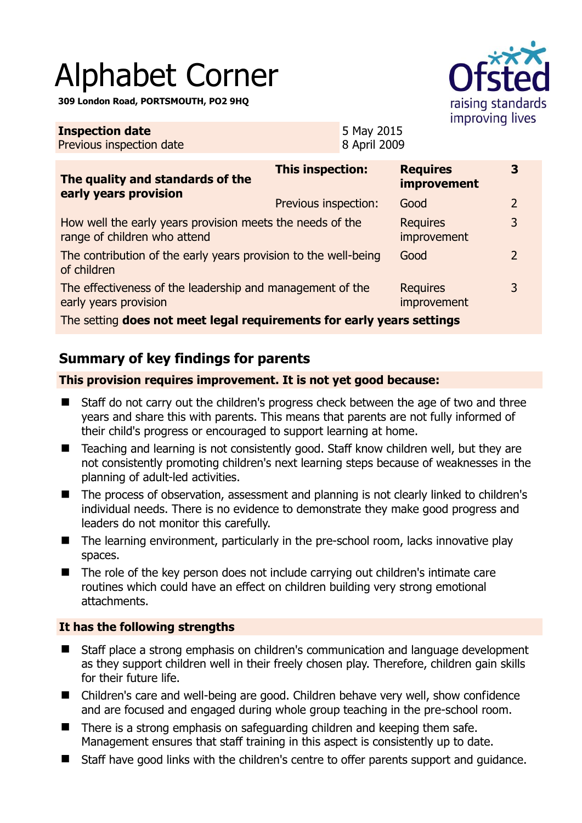# Alphabet Corner

**309 London Road, PORTSMOUTH, PO2 9HQ** 

**Inspection date**

Previous inspection date



5 May 2015 8 April 2009

| The quality and standards of the<br>early years provision                                 | <b>This inspection:</b> | <b>Requires</b><br>improvement | 3 |
|-------------------------------------------------------------------------------------------|-------------------------|--------------------------------|---|
|                                                                                           | Previous inspection:    | Good                           | 2 |
| How well the early years provision meets the needs of the<br>range of children who attend |                         | <b>Requires</b><br>improvement | 3 |
| The contribution of the early years provision to the well-being<br>of children            |                         | Good                           | 2 |
| The effectiveness of the leadership and management of the<br>early years provision        |                         | <b>Requires</b><br>improvement | 3 |
| The cetting does not most legal requirements for early vears settings                     |                         |                                |   |

The setting **does not meet legal requirements for early years settings**

# **Summary of key findings for parents**

### **This provision requires improvement. It is not yet good because:**

- Staff do not carry out the children's progress check between the age of two and three years and share this with parents. This means that parents are not fully informed of their child's progress or encouraged to support learning at home.
- Teaching and learning is not consistently good. Staff know children well, but they are not consistently promoting children's next learning steps because of weaknesses in the planning of adult-led activities.
- The process of observation, assessment and planning is not clearly linked to children's individual needs. There is no evidence to demonstrate they make good progress and leaders do not monitor this carefully.
- $\blacksquare$  The learning environment, particularly in the pre-school room, lacks innovative play spaces.
- The role of the key person does not include carrying out children's intimate care routines which could have an effect on children building very strong emotional attachments.

## **It has the following strengths**

- Staff place a strong emphasis on children's communication and language development as they support children well in their freely chosen play. Therefore, children gain skills for their future life.
- Children's care and well-being are good. Children behave very well, show confidence and are focused and engaged during whole group teaching in the pre-school room.
- There is a strong emphasis on safeguarding children and keeping them safe. Management ensures that staff training in this aspect is consistently up to date.
- Staff have good links with the children's centre to offer parents support and quidance.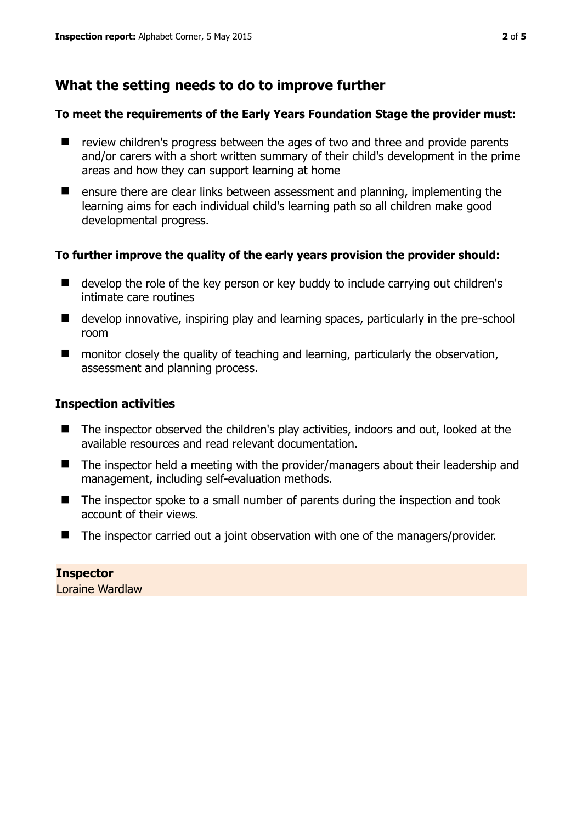# **What the setting needs to do to improve further**

#### **To meet the requirements of the Early Years Foundation Stage the provider must:**

- $\blacksquare$  review children's progress between the ages of two and three and provide parents and/or carers with a short written summary of their child's development in the prime areas and how they can support learning at home
- $\blacksquare$  ensure there are clear links between assessment and planning, implementing the learning aims for each individual child's learning path so all children make good developmental progress.

#### **To further improve the quality of the early years provision the provider should:**

- develop the role of the key person or key buddy to include carrying out children's intimate care routines
- develop innovative, inspiring play and learning spaces, particularly in the pre-school room
- monitor closely the quality of teaching and learning, particularly the observation, assessment and planning process.

#### **Inspection activities**

- The inspector observed the children's play activities, indoors and out, looked at the available resources and read relevant documentation.
- The inspector held a meeting with the provider/managers about their leadership and management, including self-evaluation methods.
- $\blacksquare$  The inspector spoke to a small number of parents during the inspection and took account of their views.
- The inspector carried out a joint observation with one of the managers/provider.

**Inspector**  Loraine Wardlaw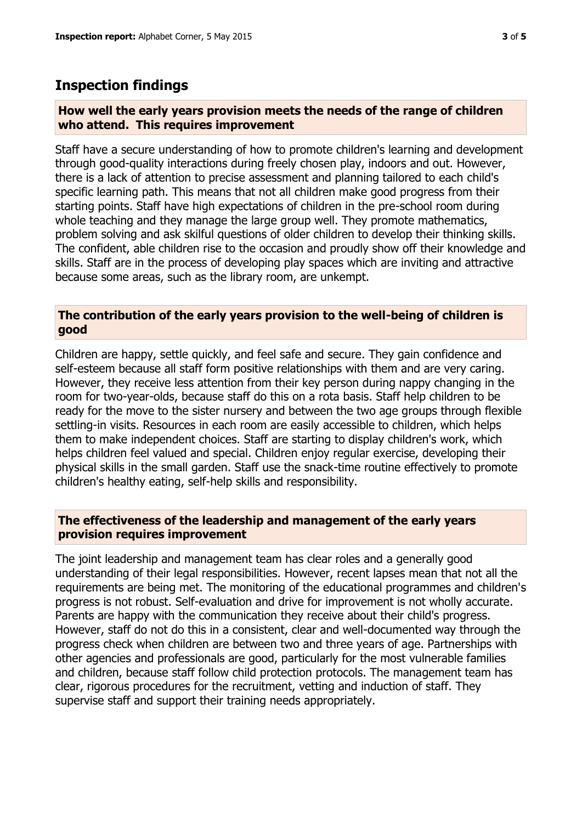## **Inspection findings**

#### **How well the early years provision meets the needs of the range of children who attend. This requires improvement**

Staff have a secure understanding of how to promote children's learning and development through good-quality interactions during freely chosen play, indoors and out. However, there is a lack of attention to precise assessment and planning tailored to each child's specific learning path. This means that not all children make good progress from their starting points. Staff have high expectations of children in the pre-school room during whole teaching and they manage the large group well. They promote mathematics, problem solving and ask skilful questions of older children to develop their thinking skills. The confident, able children rise to the occasion and proudly show off their knowledge and skills. Staff are in the process of developing play spaces which are inviting and attractive because some areas, such as the library room, are unkempt.

#### **The contribution of the early years provision to the well-being of children is good**

Children are happy, settle quickly, and feel safe and secure. They gain confidence and self-esteem because all staff form positive relationships with them and are very caring. However, they receive less attention from their key person during nappy changing in the room for two-year-olds, because staff do this on a rota basis. Staff help children to be ready for the move to the sister nursery and between the two age groups through flexible settling-in visits. Resources in each room are easily accessible to children, which helps them to make independent choices. Staff are starting to display children's work, which helps children feel valued and special. Children enjoy regular exercise, developing their physical skills in the small garden. Staff use the snack-time routine effectively to promote children's healthy eating, self-help skills and responsibility.

#### **The effectiveness of the leadership and management of the early years provision requires improvement**

The joint leadership and management team has clear roles and a generally good understanding of their legal responsibilities. However, recent lapses mean that not all the requirements are being met. The monitoring of the educational programmes and children's progress is not robust. Self-evaluation and drive for improvement is not wholly accurate. Parents are happy with the communication they receive about their child's progress. However, staff do not do this in a consistent, clear and well-documented way through the progress check when children are between two and three years of age. Partnerships with other agencies and professionals are good, particularly for the most vulnerable families and children, because staff follow child protection protocols. The management team has clear, rigorous procedures for the recruitment, vetting and induction of staff. They supervise staff and support their training needs appropriately.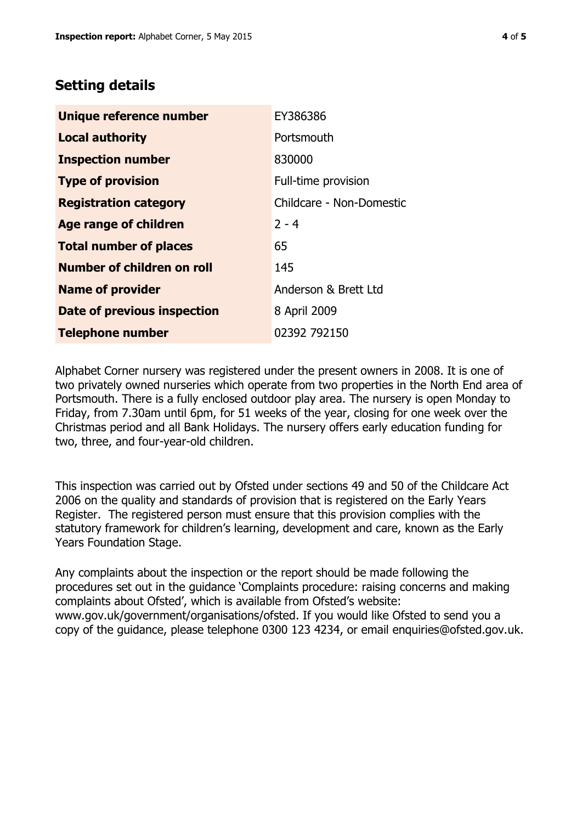# **Setting details**

| Unique reference number       | EY386386                 |  |
|-------------------------------|--------------------------|--|
| <b>Local authority</b>        | Portsmouth               |  |
| <b>Inspection number</b>      | 830000                   |  |
| <b>Type of provision</b>      | Full-time provision      |  |
| <b>Registration category</b>  | Childcare - Non-Domestic |  |
| Age range of children         | $2 - 4$                  |  |
| <b>Total number of places</b> | 65                       |  |
| Number of children on roll    | 145                      |  |
| <b>Name of provider</b>       | Anderson & Brett Ltd     |  |
| Date of previous inspection   | 8 April 2009             |  |
| <b>Telephone number</b>       | 02392 792150             |  |

Alphabet Corner nursery was registered under the present owners in 2008. It is one of two privately owned nurseries which operate from two properties in the North End area of Portsmouth. There is a fully enclosed outdoor play area. The nursery is open Monday to Friday, from 7.30am until 6pm, for 51 weeks of the year, closing for one week over the Christmas period and all Bank Holidays. The nursery offers early education funding for two, three, and four-year-old children.

This inspection was carried out by Ofsted under sections 49 and 50 of the Childcare Act 2006 on the quality and standards of provision that is registered on the Early Years Register. The registered person must ensure that this provision complies with the statutory framework for children's learning, development and care, known as the Early Years Foundation Stage.

Any complaints about the inspection or the report should be made following the procedures set out in the guidance 'Complaints procedure: raising concerns and making complaints about Ofsted', which is available from Ofsted's website: www.gov.uk/government/organisations/ofsted. If you would like Ofsted to send you a copy of the guidance, please telephone 0300 123 4234, or email enquiries@ofsted.gov.uk.